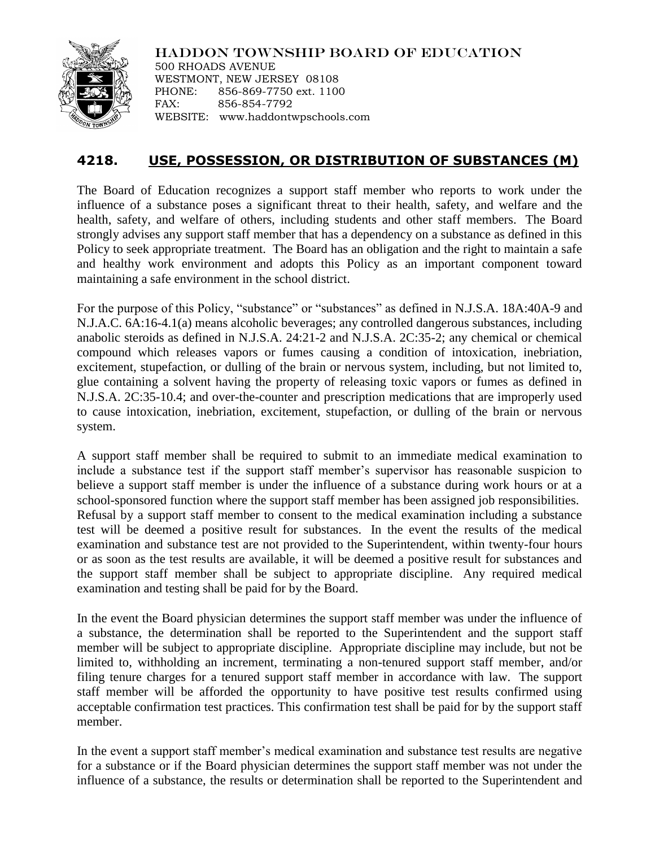

HADDON TOWNSHIP BOARD OF EDUCATION 500 RHOADS AVENUE WESTMONT, NEW JERSEY 08108

PHONE: 856-869-7750 ext. 1100 FAX: 856-854-7792 WEBSITE: www.haddontwpschools.com

## **4218. USE, POSSESSION, OR DISTRIBUTION OF SUBSTANCES (M)**

The Board of Education recognizes a support staff member who reports to work under the influence of a substance poses a significant threat to their health, safety, and welfare and the health, safety, and welfare of others, including students and other staff members. The Board strongly advises any support staff member that has a dependency on a substance as defined in this Policy to seek appropriate treatment. The Board has an obligation and the right to maintain a safe and healthy work environment and adopts this Policy as an important component toward maintaining a safe environment in the school district.

For the purpose of this Policy, "substance" or "substances" as defined in N.J.S.A. 18A:40A-9 and N.J.A.C. 6A:16-4.1(a) means alcoholic beverages; any controlled dangerous substances, including anabolic steroids as defined in N.J.S.A. 24:21-2 and N.J.S.A. 2C:35-2; any chemical or chemical compound which releases vapors or fumes causing a condition of intoxication, inebriation, excitement, stupefaction, or dulling of the brain or nervous system, including, but not limited to, glue containing a solvent having the property of releasing toxic vapors or fumes as defined in N.J.S.A. 2C:35-10.4; and over-the-counter and prescription medications that are improperly used to cause intoxication, inebriation, excitement, stupefaction, or dulling of the brain or nervous system.

A support staff member shall be required to submit to an immediate medical examination to include a substance test if the support staff member's supervisor has reasonable suspicion to believe a support staff member is under the influence of a substance during work hours or at a school-sponsored function where the support staff member has been assigned job responsibilities. Refusal by a support staff member to consent to the medical examination including a substance test will be deemed a positive result for substances. In the event the results of the medical examination and substance test are not provided to the Superintendent, within twenty-four hours or as soon as the test results are available, it will be deemed a positive result for substances and the support staff member shall be subject to appropriate discipline. Any required medical examination and testing shall be paid for by the Board.

In the event the Board physician determines the support staff member was under the influence of a substance, the determination shall be reported to the Superintendent and the support staff member will be subject to appropriate discipline. Appropriate discipline may include, but not be limited to, withholding an increment, terminating a non-tenured support staff member, and/or filing tenure charges for a tenured support staff member in accordance with law. The support staff member will be afforded the opportunity to have positive test results confirmed using acceptable confirmation test practices. This confirmation test shall be paid for by the support staff member.

In the event a support staff member's medical examination and substance test results are negative for a substance or if the Board physician determines the support staff member was not under the influence of a substance, the results or determination shall be reported to the Superintendent and